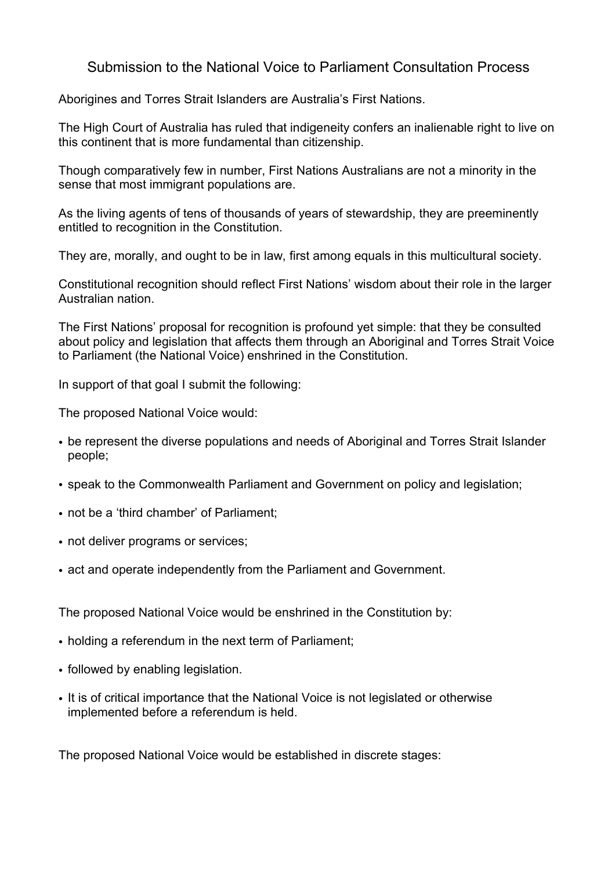## Submission to the National Voice to Parliament Consultation Process

Aborigines and Torres Strait Islanders are Australia's First Nations.

The High Court of Australia has ruled that indigeneity confers an inalienable right to live on this continent that is more fundamental than citizenship.

Though comparatively few in number, First Nations Australians are not a minority in the sense that most immigrant populations are.

As the living agents of tens of thousands of years of stewardship, they are preeminently entitled to recognition in the Constitution.

They are, morally, and ought to be in law, first among equals in this multicultural society.

Constitutional recognition should reflect First Nations' wisdom about their role in the larger Australian nation.

The First Nations' proposal for recognition is profound yet simple: that they be consulted about policy and legislation that affects them through an Aboriginal and Torres Strait Voice to Parliament (the National Voice) enshrined in the Constitution.

In support of that goal I submit the following:

The proposed National Voice would:

- be represent the diverse populations and needs of Aboriginal and Torres Strait Islander people;
- speak to the Commonwealth Parliament and Government on policy and legislation;
- not be a 'third chamber' of Parliament;
- not deliver programs or services;
- act and operate independently from the Parliament and Government.

The proposed National Voice would be enshrined in the Constitution by:

- holding a referendum in the next term of Parliament;
- followed by enabling legislation.
- It is of critical importance that the National Voice is not legislated or otherwise implemented before a referendum is held.

The proposed National Voice would be established in discrete stages: